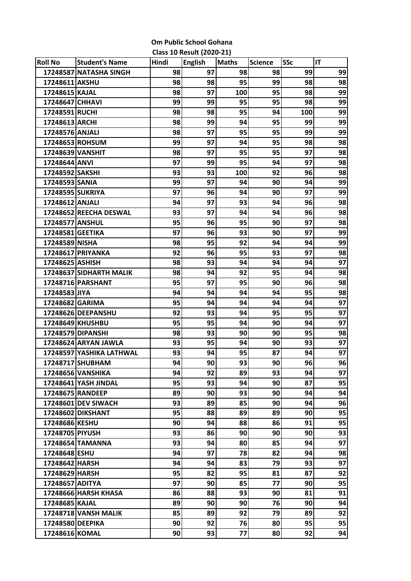| <b>Om Public School Gohana</b>   |  |
|----------------------------------|--|
| <b>Class 10 Result (2020-21)</b> |  |

| <b>Roll No</b>    | <b>Student's Name</b>       | Hindi | <b>English</b> | <b>Maths</b> | <b>Science</b>  | <b>SSc</b> | IT |
|-------------------|-----------------------------|-------|----------------|--------------|-----------------|------------|----|
|                   | 17248587 NATASHA SINGH      | 98    | 97             | 98           | 98              | 99         | 99 |
| 17248611 AKSHU    |                             | 98    | 98             | 95           | 99              | 98         | 98 |
| 17248615 KAJAL    |                             | 98    | 97             | 100          | 95              | 98         | 99 |
| 17248647 CHHAVI   |                             | 99    | 99             | 95           | 95              | 98         | 99 |
| 17248591 RUCHI    |                             | 98    | 98             | 95           | 94              | 100        | 99 |
| 17248613 ARCHI    |                             | 98    | 99             | 94           | 95              | 99         | 99 |
| 17248576 ANJALI   |                             | 98    | 97             | 95           | 95              | 99         | 99 |
| 17248653 ROHSUM   |                             | 99    | 97             | 94           | 95              | 98         | 98 |
| 17248639 VANSHIT  |                             | 98    | 97             | 95           | 95              | 97         | 98 |
| 17248644 ANVI     |                             | 97    | 99             | 95           | 94              | 97         | 98 |
| 17248592 SAKSHI   |                             | 93    | 93             | 100          | 92              | 96         | 98 |
| 17248593 SANIA    |                             | 99    | 97             | 94           | 90              | 94         | 99 |
| 17248595 SUKRIYA  |                             | 97    | 96             | 94           | 90              | 97         | 99 |
| 17248612 ANJALI   |                             | 94    | 97             | 93           | 94              | 96         | 98 |
|                   | 17248652 REECHA DESWAL      | 93    | 97             | 94           | 94              | 96         | 98 |
| 17248577 ANSHUL   |                             | 95    | 96             | 95           | 90              | 97         | 98 |
| 17248581 GEETIKA  |                             | 97    | 96             | 93           | 90              | 97         | 99 |
| 17248589 NISHA    |                             | 98    | 95             | 92           | 94              | 94         | 99 |
|                   | 17248617 PRIYANKA           | 92    | 96             | 95           | 93              | 97         | 98 |
| 17248625 ASHISH   |                             | 98    | 93             | 94           | 94              | 94         | 97 |
|                   | 17248637 SIDHARTH MALIK     | 98    | 94             | 92           | 95              | 94         | 98 |
|                   | 17248716 PARSHANT           | 95    | 97             | 95           | 90              | 96         | 98 |
| 17248583 JIYA     |                             | 94    | 94             | 94           | 94              | 95         | 98 |
| 17248682 GARIMA   |                             | 95    | 94             | 94           | 94              | 94         | 97 |
|                   | 17248626 DEEPANSHU          | 92    | 93             | 94           | 95              | 95         | 97 |
|                   | 17248649 KHUSHBU            | 95    | 95             | 94           | 90              | 94         | 97 |
| 17248579 DIPANSHI |                             | 98    | 93             | 90           | 90              | 95         | 98 |
|                   | 17248624 ARYAN JAWLA        | 93    | 95             | 94           | 90              | 93         | 97 |
|                   | 17248597 YASHIKA LATHWAL    | 93    | 94             | 95           | 87              | 94         | 97 |
|                   | 17248717 SHUBHAM            | 94    | 90             | 93           | 90              | 96         | 96 |
|                   | 17248656 VANSHIKA           | 94    | 92             | 89           | 93              | 94         | 97 |
|                   | 17248641 YASH JINDAL        | 95    | 93             | 94           | 90              | 87         | 95 |
| 17248675 RANDEEP  |                             | 89    | 90             | 93           | 90              | 94         | 94 |
|                   | 17248601 DEV SIWACH         | 93    | 89             | 85           | 90 <sub>1</sub> | 94         | 96 |
|                   | 17248602 DIKSHANT           | 95    | 88             | 89           | 89              | 90         | 95 |
| 17248686 KESHU    |                             | 90    | 94             | 88           | 86              | 91         | 95 |
| 17248705 PIYUSH   |                             | 93    | 86             | 90           | 90              | 90         | 93 |
|                   | 17248654 TAMANNA            | 93    | 94             | 80           | 85              | 94         | 97 |
| 17248648 ESHU     |                             | 94    | 97             | 78           | 82              | 94         | 98 |
| 17248642 HARSH    |                             | 94    | 94             | 83           | 79              | 93         | 97 |
| 17248629 HARSH    |                             | 95    | 82             | 95           | 81              | 87         | 92 |
| 17248657 ADITYA   |                             | 97    | 90             | 85           | 77              | 90         | 95 |
|                   | 17248666 HARSH KHASA        | 86    | 88             | 93           | 90              | 81         | 91 |
| 17248685 KAJAL    |                             | 89    | 90             | 90           | 76              | 90         | 94 |
|                   | <b>17248718 VANSH MALIK</b> | 85    | 89             | 92           | 79              | 89         | 92 |
| 17248580 DEEPIKA  |                             | 90    | 92             | 76           | 80              | 95         | 95 |
| 17248616 KOMAL    |                             | 90    | 93             | 77           | 80              | 92         | 94 |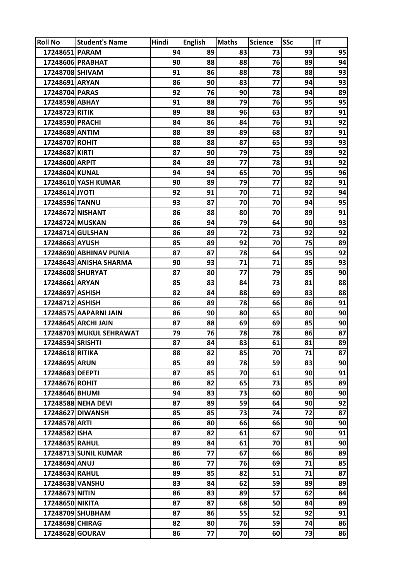| <b>Roll No</b>   | <b>Student's Name</b>       | Hindi | <b>English</b> | <b>Maths</b> | <b>Science</b> | <b>SSc</b> | IT |
|------------------|-----------------------------|-------|----------------|--------------|----------------|------------|----|
| 17248651 PARAM   |                             | 94    | 89             | 83           | 73             | 93         | 95 |
|                  | 17248606 PRABHAT            | 90    | 88             | 88           | 76             | 89         | 94 |
| 17248708 SHIVAM  |                             | 91    | 86             | 88           | 78             | 88         | 93 |
| 17248691 ARYAN   |                             | 86    | 90             | 83           | 77             | 94         | 93 |
| 17248704 PARAS   |                             | 92    | 76             | 90           | 78             | 94         | 89 |
| 17248598 ABHAY   |                             | 91    | 88             | 79           | 76             | 95         | 95 |
| 17248723 RITIK   |                             | 89    | 88             | 96           | 63             | 87         | 91 |
| 17248590 PRACHI  |                             | 84    | 86             | 84           | 76             | 91         | 92 |
| 17248689 ANTIM   |                             | 88    | 89             | 89           | 68             | 87         | 91 |
| 17248707 ROHIT   |                             | 88    | 88             | 87           | 65             | 93         | 93 |
| 17248687 KIRTI   |                             | 87    | 90             | 79           | 75             | 89         | 92 |
| 17248600 ARPIT   |                             | 84    | 89             | 77           | 78             | 91         | 92 |
| 17248604 KUNAL   |                             | 94    | 94             | 65           | 70             | 95         | 96 |
|                  | 17248610 YASH KUMAR         | 90    | 89             | 79           | 77             | 82         | 91 |
| 17248614 JYOTI   |                             | 92    | 91             | 70           | 71             | 92         | 94 |
| 17248596 TANNU   |                             | 93    | 87             | 70           | 70             | 94         | 95 |
| 17248672 NISHANT |                             | 86    | 88             | 80           | 70             | 89         | 91 |
| 17248724 MUSKAN  |                             | 86    | 94             | 79           | 64             | 90         | 93 |
|                  | 17248714 GULSHAN            | 86    | 89             | 72           | 73             | 92         | 92 |
| 17248663 AYUSH   |                             | 85    | 89             | 92           | 70             | 75         | 89 |
|                  | 17248690 ABHINAV PUNIA      | 87    | 87             | 78           | 64             | 95         | 92 |
|                  | 17248643 ANISHA SHARMA      | 90    | 93             | 71           | 71             | 85         | 93 |
| 17248608 SHURYAT |                             | 87    | 80             | 77           | 79             | 85         | 90 |
| 17248661 ARYAN   |                             | 85    | 83             | 84           | 73             | 81         | 88 |
| 17248697 ASHISH  |                             | 82    | 84             | 88           | 69             | 83         | 88 |
| 17248712 ASHISH  |                             | 86    | 89             | 78           | 66             | 86         | 91 |
|                  | 17248575 AAPARNI JAIN       | 86    | 90             | 80           | 65             | 80         | 90 |
|                  | 17248645 ARCHI JAIN         | 87    | 88             | 69           | 69             | 85         | 90 |
|                  | 17248703 MUKUL SEHRAWAT     | 79    | 76             | 78           | 78             | 86         | 87 |
| 17248594 SRISHTI |                             | 87    | 84             | 83           | 61             | 81         | 89 |
| 17248618 RITIKA  |                             | 88    | 82             | 85           | 70             | 71         | 87 |
| 17248695 ARUN    |                             | 85    | 89             | 78           | 59             | 83         | 90 |
| 17248683 DEEPTI  |                             | 87    | 85             | 70           | 61             | 90         | 91 |
| 17248676 ROHIT   |                             | 86    | 82             | 65           | 73             | 85         | 89 |
| 17248646 BHUMI   |                             | 94    | 83             | 73           | 60             | 80         | 90 |
|                  | <b>17248588 NEHA DEVI</b>   | 87    | 89             | 59           | 64             | 90         | 92 |
|                  | 17248627 DIWANSH            | 85    | 85             | 73           | 74             | 72         | 87 |
| 17248578 ARTI    |                             | 86    | 80             | 66           | 66             | 90         | 90 |
| 17248582 ISHA    |                             | 87    | 82             | 61           | 67             | 90         | 91 |
| 17248635 RAHUL   |                             | 89    | 84             | 61           | 70             | 81         | 90 |
|                  | <b>17248713 SUNIL KUMAR</b> | 86    | 77             | 67           | 66             | 86         | 89 |
| 17248694 ANUJ    |                             | 86    | 77             | 76           | 69             | 71         | 85 |
| 17248634 RAHUL   |                             | 89    | 85             | 82           | 51             | 71         | 87 |
| 17248638 VANSHU  |                             | 83    | 84             | 62           | 59             | 89         | 89 |
| 17248673 NITIN   |                             | 86    | 83             | 89           | 57             | 62         | 84 |
| 17248650 NIKITA  |                             | 87    | 87             | 68           | 50             | 84         | 89 |
|                  | 17248709 SHUBHAM            | 87    | 86             | 55           | 52             | 92         | 91 |
| 17248698 CHIRAG  |                             | 82    | 80             | 76           | 59             | 74         | 86 |
| 17248628 GOURAV  |                             | 86    | 77             | 70           | 60             | 73         | 86 |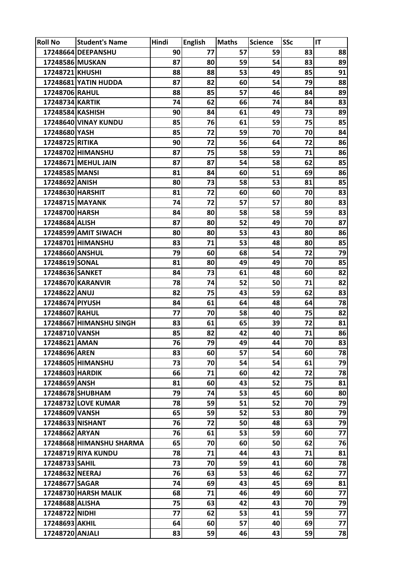| <b>Roll No</b>   | <b>Student's Name</b>    | Hindi | <b>English</b> | <b>Maths</b> | <b>Science</b> | <b>SSc</b> | IT |
|------------------|--------------------------|-------|----------------|--------------|----------------|------------|----|
|                  | 17248664 DEEPANSHU       | 90    | 77             | 57           | 59             | 83         | 88 |
| 17248586 MUSKAN  |                          | 87    | 80             | 59           | 54             | 83         | 89 |
| 17248721 KHUSHI  |                          | 88    | 88             | 53           | 49             | 85         | 91 |
|                  | 17248681 YATIN HUDDA     | 87    | 82             | 60           | 54             | 79         | 88 |
| 17248706 RAHUL   |                          | 88    | 85             | 57           | 46             | 84         | 89 |
| 17248734 KARTIK  |                          | 74    | 62             | 66           | 74             | 84         | 83 |
| 17248584 KASHISH |                          | 90    | 84             | 61           | 49             | 73         | 89 |
|                  | 17248640 VINAY KUNDU     | 85    | 76             | 61           | 59             | 75         | 85 |
| 17248680 YASH    |                          | 85    | 72             | 59           | 70             | 70         | 84 |
| 17248725 RITIKA  |                          | 90    | 72             | 56           | 64             | 72         | 86 |
|                  | 17248702 HIMANSHU        | 87    | 75             | 58           | 59             | 71         | 86 |
|                  | 17248671 MEHUL JAIN      | 87    | 87             | 54           | 58             | 62         | 85 |
| 17248585 MANSI   |                          | 81    | 84             | 60           | 51             | 69         | 86 |
| 17248692 ANISH   |                          | 80    | 73             | 58           | 53             | 81         | 85 |
| 17248630 HARSHIT |                          | 81    | 72             | 60           | 60             | 70         | 83 |
| 17248715 MAYANK  |                          | 74    | 72             | 57           | 57             | 80         | 83 |
| 17248700 HARSH   |                          | 84    | 80             | 58           | 58             | 59         | 83 |
| 17248684 ALISH   |                          | 87    | 80             | 52           | 49             | 70         | 87 |
|                  | 17248599 AMIT SIWACH     | 80    | 80             | 53           | 43             | 80         | 86 |
|                  | 17248701 HIMANSHU        | 83    | 71             | 53           | 48             | 80         | 85 |
| 17248660 ANSHUL  |                          | 79    | 60             | 68           | 54             | 72         | 79 |
| 17248619 SONAL   |                          | 81    | 80             | 49           | 49             | 70         | 85 |
| 17248636 SANKET  |                          | 84    | 73             | 61           | 48             | 60         | 82 |
|                  | 17248670 KARANVIR        | 78    | 74             | 52           | 50             | 71         | 82 |
| 17248622 ANUJ    |                          | 82    | 75             | 43           | 59             | 62         | 83 |
| 17248674 PIYUSH  |                          | 84    | 61             | 64           | 48             | 64         | 78 |
| 17248607 RAHUL   |                          | 77    | 70             | 58           | 40             | 75         | 82 |
|                  | 17248667 HIMANSHU SINGH  | 83    | 61             | 65           | 39             | 72         | 81 |
| 17248710 VANSH   |                          | 85    | 82             | 42           | 40             | 71         | 86 |
| 17248621 AMAN    |                          | 76    | 79             | 49           | 44             | 70         | 83 |
| 17248696 AREN    |                          | 83    | 60             | 57           | 54             | 60         | 78 |
|                  | 17248605 HIMANSHU        | 73    | 70             | 54           | 54             | 61         | 79 |
| 17248603 HARDIK  |                          | 66    | 71             | 60           | 42             | 72         | 78 |
| 17248659 ANSH    |                          | 81    | 60             | 43           | 52             | 75         | 81 |
|                  | 17248678 SHUBHAM         | 79    | 74             | 53           | 45             | 60         | 80 |
|                  | 17248732 LOVE KUMAR      | 78    | 59             | 51           | 52             | 70         | 79 |
| 17248609 VANSH   |                          | 65    | 59             | 52           | 53             | 80         | 79 |
| 17248633 NISHANT |                          | 76    | 72             | 50           | 48             | 63         | 79 |
| 17248662 ARYAN   |                          | 76    | 61             | 53           | 59             | 60         | 77 |
|                  | 17248668 HIMANSHU SHARMA | 65    | 70             | 60           | 50             | 62         | 76 |
|                  | 17248719 RIYA KUNDU      | 78    | 71             | 44           | 43             | 71         | 81 |
| 17248733 SAHIL   |                          | 73    | 70             | 59           | 41             | 60         | 78 |
| 17248632 NEERAJ  |                          | 76    | 63             | 53           | 46             | 62         | 77 |
| 17248677 SAGAR   |                          | 74    | 69             | 43           | 45             | 69         | 81 |
|                  | 17248730 HARSH MALIK     | 68    | 71             | 46           | 49             | 60         | 77 |
| 17248688 ALISHA  |                          | 75    | 63             | 42           | 43             | 70         | 79 |
| 17248722 NIDHI   |                          | 77    | 62             | 53           | 41             | 59         | 77 |
| 17248693 AKHIL   |                          | 64    | 60             | 57           | 40             | 69         | 77 |
| 17248720 ANJALI  |                          | 83    | 59             | 46           | 43             | 59         | 78 |